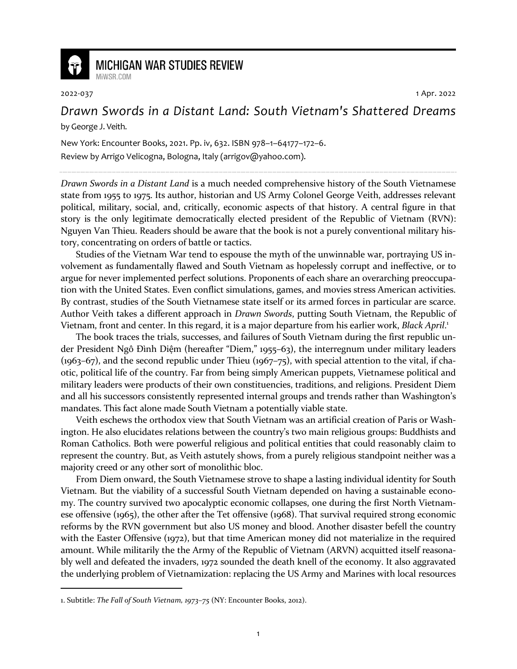

## **MICHIGAN WAR STUDIES REVIEW** MiWSR.COM

2022-037 1 Apr. 2022

## *Drawn Swords in a Distant Land: South Vietnam's Shattered Dreams* by George J. Veith.

New York: Encounter Books, 2021. Pp. iv, 632. ISBN 978–1–64177–172–6.

Review by Arrigo Velicogna, Bologna, Italy (arrigov@yahoo.com).

*Drawn Swords in a Distant Land* is a much needed comprehensive history of the South Vietnamese state from 1955 to 1975. Its author, historian and US Army Colonel George Veith, addresses relevant political, military, social, and, critically, economic aspects of that history. A central figure in that story is the only legitimate democratically elected president of the Republic of Vietnam (RVN): Nguyen Van Thieu. Readers should be aware that the book is not a purely conventional military history, concentrating on orders of battle or tactics.

Studies of the Vietnam War tend to espouse the myth of the unwinnable war, portraying US involvement as fundamentally flawed and South Vietnam as hopelessly corrupt and ineffective, or to argue for never implemented perfect solutions. Proponents of each share an overarching preoccupation with the United States. Even conflict simulations, games, and movies stress American activities. By contrast, studies of the South Vietnamese state itself or its armed forces in particular are scarce. Author Veith takes a different approach in *Drawn Swords*, putting South Vietnam, the Republic of Vietnam, front and center. In this regard, it is a major departure from his earlier work, *Black April*. 1

The book traces the trials, successes, and failures of South Vietnam during the first republic under President Ngô Đình Diệm (hereafter "Diem," 1955–63), the interregnum under military leaders (1963–67), and the second republic under Thieu (1967–75), with special attention to the vital, if chaotic, political life of the country. Far from being simply American puppets, Vietnamese political and military leaders were products of their own constituencies, traditions, and religions. President Diem and all his successors consistently represented internal groups and trends rather than Washington's mandates. This fact alone made South Vietnam a potentially viable state.

Veith eschews the orthodox view that South Vietnam was an artificial creation of Paris or Washington. He also elucidates relations between the country's two main religious groups: Buddhists and Roman Catholics. Both were powerful religious and political entities that could reasonably claim to represent the country. But, as Veith astutely shows, from a purely religious standpoint neither was a majority creed or any other sort of monolithic bloc.

From Diem onward, the South Vietnamese strove to shape a lasting individual identity for South Vietnam. But the viability of a successful South Vietnam depended on having a sustainable economy. The country survived two apocalyptic economic collapses, one during the first North Vietnamese offensive (1965), the other after the Tet offensive (1968). That survival required strong economic reforms by the RVN government but also US money and blood. Another disaster befell the country with the Easter Offensive (1972), but that time American money did not materialize in the required amount. While militarily the the Army of the Republic of Vietnam (ARVN) acquitted itself reasonably well and defeated the invaders, 1972 sounded the death knell of the economy. It also aggravated the underlying problem of Vietnamization: replacing the US Army and Marines with local resources

<sup>1.</sup> Subtitle: *The Fall of South Vietnam, 1973–75* (NY: Encounter Books, 2012).